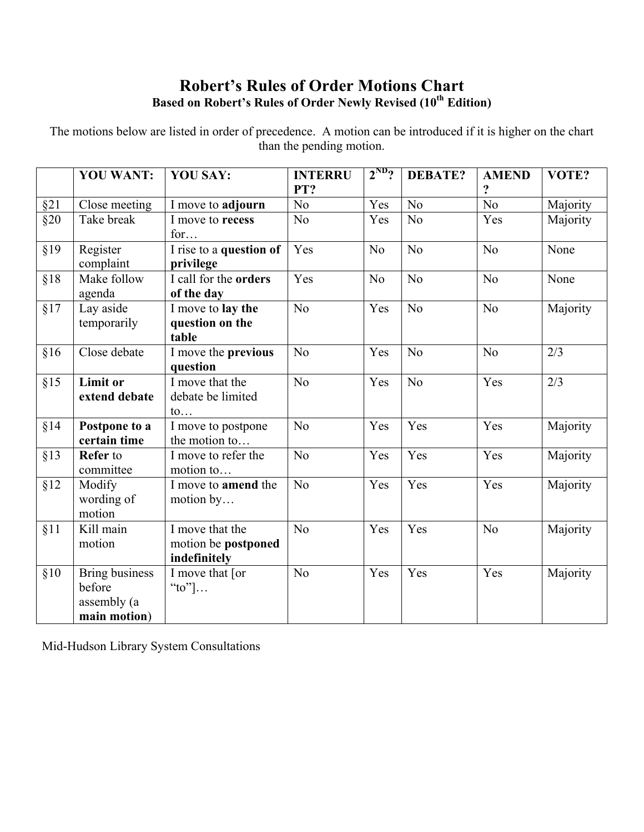## **Robert's Rules of Order Motions Chart Based on Robert's Rules of Order Newly Revised (10th Edition)**

The motions below are listed in order of precedence. A motion can be introduced if it is higher on the chart than the pending motion.

|     | <b>YOU WANT:</b>                                               | <b>YOU SAY:</b>                                         | <b>INTERRU</b><br>PT? | $2^{ND}$ ?     | <b>DEBATE?</b> | <b>AMEND</b><br>$\ddot{\textbf{?}}$ | VOTE?    |
|-----|----------------------------------------------------------------|---------------------------------------------------------|-----------------------|----------------|----------------|-------------------------------------|----------|
| §21 | Close meeting                                                  | I move to adjourn                                       | N <sub>o</sub>        | Yes            | N <sub>o</sub> | $\overline{No}$                     | Majority |
| §20 | Take break                                                     | I move to recess<br>for                                 | N <sub>0</sub>        | Yes            | N <sub>o</sub> | Yes                                 | Majority |
| §19 | Register<br>complaint                                          | I rise to a question of<br>privilege                    | Yes                   | N <sub>o</sub> | N <sub>o</sub> | N <sub>o</sub>                      | None     |
| §18 | Make follow<br>agenda                                          | I call for the orders<br>of the day                     | Yes                   | N <sub>0</sub> | N <sub>o</sub> | N <sub>o</sub>                      | None     |
| §17 | Lay aside<br>temporarily                                       | I move to lay the<br>question on the<br>table           | N <sub>o</sub>        | Yes            | N <sub>0</sub> | N <sub>o</sub>                      | Majority |
| §16 | Close debate                                                   | I move the previous<br>question                         | N <sub>o</sub>        | Yes            | N <sub>o</sub> | N <sub>0</sub>                      | 2/3      |
| §15 | <b>Limit or</b><br>extend debate                               | I move that the<br>debate be limited<br>$\mathfrak{to}$ | No                    | Yes            | No             | Yes                                 | 2/3      |
| §14 | Postpone to a<br>certain time                                  | I move to postpone<br>the motion to                     | N <sub>o</sub>        | Yes            | Yes            | Yes                                 | Majority |
| §13 | <b>Refer</b> to<br>committee                                   | I move to refer the<br>motion to                        | N <sub>o</sub>        | Yes            | Yes            | Yes                                 | Majority |
| §12 | Modify<br>wording of<br>motion                                 | I move to <b>amend</b> the<br>motion by                 | N <sub>o</sub>        | Yes            | Yes            | Yes                                 | Majority |
| §11 | Kill main<br>motion                                            | I move that the<br>motion be postponed<br>indefinitely  | N <sub>o</sub>        | Yes            | Yes            | N <sub>0</sub>                      | Majority |
| §10 | <b>Bring business</b><br>before<br>assembly (a<br>main motion) | I move that [or<br>"to"] $\ldots$                       | No                    | Yes            | Yes            | Yes                                 | Majority |

Mid-Hudson Library System Consultations